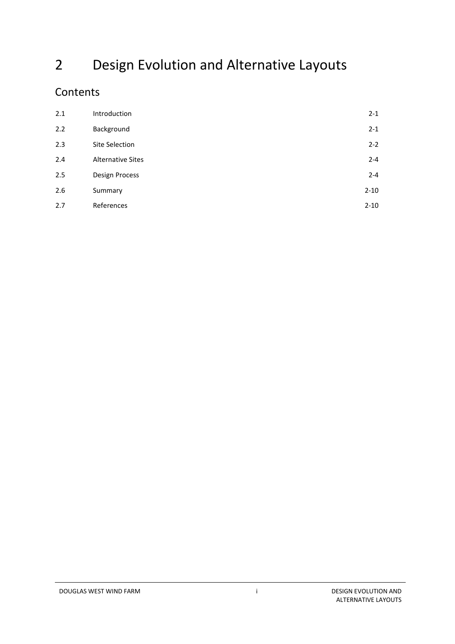# 2 Design Evolution and Alternative Layouts

# **Contents**

| 2.1 | Introduction             | $2 - 1$  |
|-----|--------------------------|----------|
| 2.2 | Background               | $2 - 1$  |
| 2.3 | <b>Site Selection</b>    | $2 - 2$  |
| 2.4 | <b>Alternative Sites</b> | $2 - 4$  |
| 2.5 | <b>Design Process</b>    | $2 - 4$  |
| 2.6 | Summary                  | $2 - 10$ |
| 2.7 | References               | $2 - 10$ |
|     |                          |          |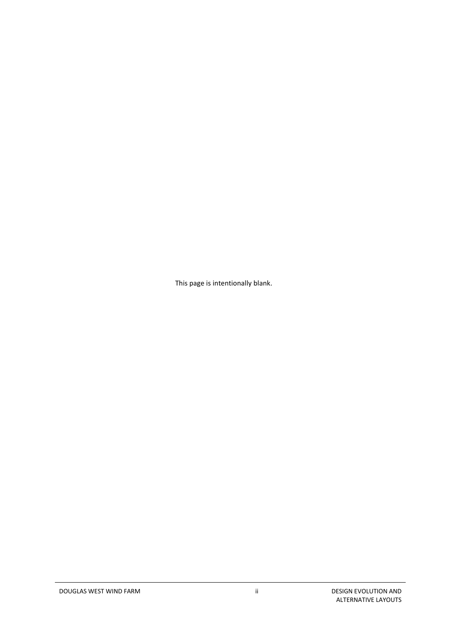This page is intentionally blank.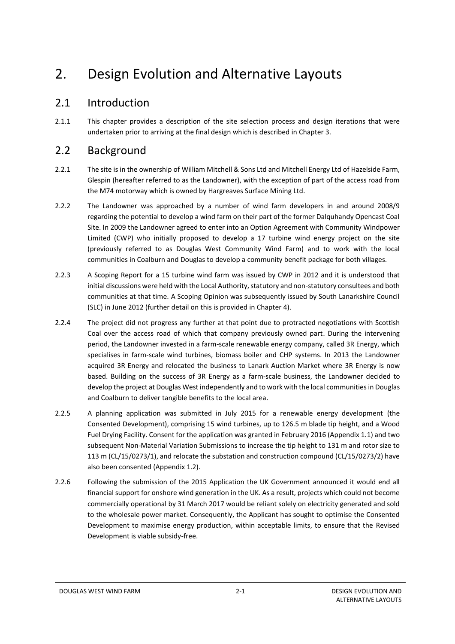# 2. Design Evolution and Alternative Layouts

# <span id="page-2-0"></span>2.1 Introduction

2.1.1 This chapter provides a description of the site selection process and design iterations that were undertaken prior to arriving at the final design which is described in Chapter 3.

# <span id="page-2-1"></span>2.2 Background

- 2.2.1 The site is in the ownership of William Mitchell & Sons Ltd and Mitchell Energy Ltd of Hazelside Farm, Glespin (hereafter referred to as the Landowner), with the exception of part of the access road from the M74 motorway which is owned by Hargreaves Surface Mining Ltd.
- 2.2.2 The Landowner was approached by a number of wind farm developers in and around 2008/9 regarding the potential to develop a wind farm on their part of the former Dalquhandy Opencast Coal Site. In 2009 the Landowner agreed to enter into an Option Agreement with Community Windpower Limited (CWP) who initially proposed to develop a 17 turbine wind energy project on the site (previously referred to as Douglas West Community Wind Farm) and to work with the local communities in Coalburn and Douglas to develop a community benefit package for both villages.
- 2.2.3 A Scoping Report for a 15 turbine wind farm was issued by CWP in 2012 and it is understood that initial discussions were held with the Local Authority, statutory and non-statutory consultees and both communities at that time. A Scoping Opinion was subsequently issued by South Lanarkshire Council (SLC) in June 2012 (further detail on this is provided in Chapter 4).
- 2.2.4 The project did not progress any further at that point due to protracted negotiations with Scottish Coal over the access road of which that company previously owned part. During the intervening period, the Landowner invested in a farm-scale renewable energy company, called 3R Energy, which specialises in farm-scale wind turbines, biomass boiler and CHP systems. In 2013 the Landowner acquired 3R Energy and relocated the business to Lanark Auction Market where 3R Energy is now based. Building on the success of 3R Energy as a farm-scale business, the Landowner decided to develop the project at Douglas West independently and to work with the local communities in Douglas and Coalburn to deliver tangible benefits to the local area.
- 2.2.5 A planning application was submitted in July 2015 for a renewable energy development (the Consented Development), comprising 15 wind turbines, up to 126.5 m blade tip height, and a Wood Fuel Drying Facility. Consent for the application was granted in February 2016 (Appendix 1.1) and two subsequent Non-Material Variation Submissions to increase the tip height to 131 m and rotor size to 113 m (CL/15/0273/1), and relocate the substation and construction compound (CL/15/0273/2) have also been consented (Appendix 1.2).
- 2.2.6 Following the submission of the 2015 Application the UK Government announced it would end all financial support for onshore wind generation in the UK. As a result, projects which could not become commercially operational by 31 March 2017 would be reliant solely on electricity generated and sold to the wholesale power market. Consequently, the Applicant has sought to optimise the Consented Development to maximise energy production, within acceptable limits, to ensure that the Revised Development is viable subsidy-free.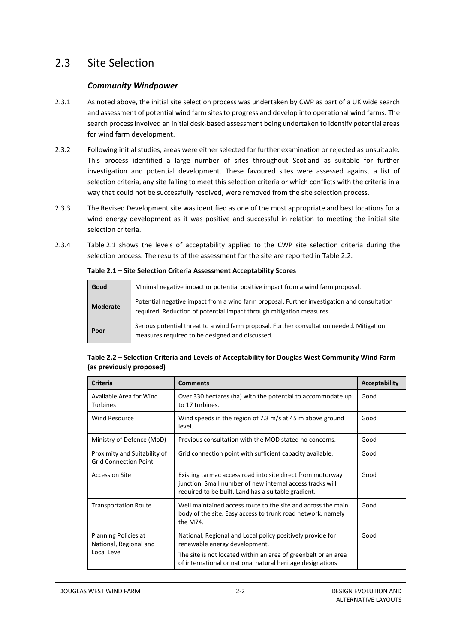# <span id="page-3-0"></span>2.3 Site Selection

## *Community Windpower*

- 2.3.1 As noted above, the initial site selection process was undertaken by CWP as part of a UK wide search and assessment of potential wind farm sites to progress and develop into operational wind farms. The search process involved an initial desk-based assessment being undertaken to identify potential areas for wind farm development.
- 2.3.2 Following initial studies, areas were either selected for further examination or rejected as unsuitable. This process identified a large number of sites throughout Scotland as suitable for further investigation and potential development. These favoured sites were assessed against a list of selection criteria, any site failing to meet this selection criteria or which conflicts with the criteria in a way that could not be successfully resolved, were removed from the site selection process.
- 2.3.3 The Revised Development site was identified as one of the most appropriate and best locations for a wind energy development as it was positive and successful in relation to meeting the initial site selection criteria.
- 2.3.4 Table 2.1 shows the levels of acceptability applied to the CWP site selection criteria during the selection process. The results of the assessment for the site are reported in Table 2.2.

| Good            | Minimal negative impact or potential positive impact from a wind farm proposal.                                                                                     |
|-----------------|---------------------------------------------------------------------------------------------------------------------------------------------------------------------|
| <b>Moderate</b> | Potential negative impact from a wind farm proposal. Further investigation and consultation<br>required. Reduction of potential impact through mitigation measures. |
| Poor            | Serious potential threat to a wind farm proposal. Further consultation needed. Mitigation<br>measures required to be designed and discussed.                        |

#### **Table 2.1 – Site Selection Criteria Assessment Acceptability Scores**

#### **Table 2.2 – Selection Criteria and Levels of Acceptability for Douglas West Community Wind Farm (as previously proposed)**

| <b>Criteria</b>                                               | <b>Comments</b>                                                                                                                                                                                                             | <b>Acceptability</b> |
|---------------------------------------------------------------|-----------------------------------------------------------------------------------------------------------------------------------------------------------------------------------------------------------------------------|----------------------|
| Available Area for Wind<br><b>Turbines</b>                    | Over 330 hectares (ha) with the potential to accommodate up<br>to 17 turbines.                                                                                                                                              | Good                 |
| <b>Wind Resource</b>                                          | Wind speeds in the region of 7.3 m/s at 45 m above ground<br>level.                                                                                                                                                         | Good                 |
| Ministry of Defence (MoD)                                     | Previous consultation with the MOD stated no concerns.                                                                                                                                                                      | Good                 |
| Proximity and Suitability of<br><b>Grid Connection Point</b>  | Grid connection point with sufficient capacity available.                                                                                                                                                                   | Good                 |
| Access on Site                                                | Existing tarmac access road into site direct from motorway<br>junction. Small number of new internal access tracks will<br>required to be built. Land has a suitable gradient.                                              | Good                 |
| <b>Transportation Route</b>                                   | Well maintained access route to the site and across the main<br>body of the site. Easy access to trunk road network, namely<br>the M74.                                                                                     | Good                 |
| Planning Policies at<br>National, Regional and<br>Local Level | National, Regional and Local policy positively provide for<br>renewable energy development.<br>The site is not located within an area of greenbelt or an area<br>of international or national natural heritage designations | Good                 |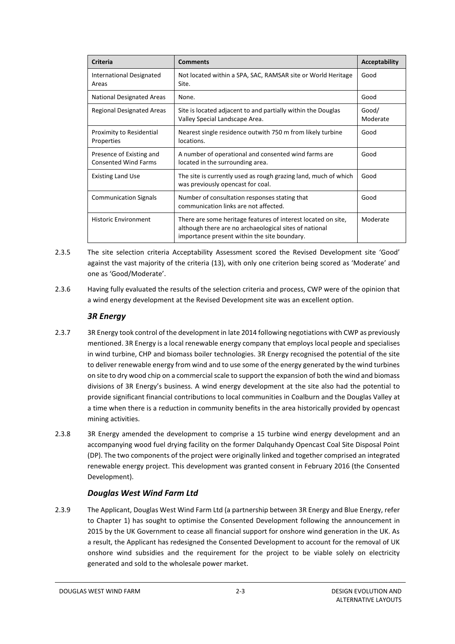| <b>Criteria</b>                                         | <b>Comments</b>                                                                                                                                                         | <b>Acceptability</b> |
|---------------------------------------------------------|-------------------------------------------------------------------------------------------------------------------------------------------------------------------------|----------------------|
| International Designated<br>Areas                       | Not located within a SPA, SAC, RAMSAR site or World Heritage<br>Site.                                                                                                   | Good                 |
| National Designated Areas                               | None.                                                                                                                                                                   | Good                 |
| <b>Regional Designated Areas</b>                        | Site is located adjacent to and partially within the Douglas<br>Valley Special Landscape Area.                                                                          | Good/<br>Moderate    |
| Proximity to Residential<br>Properties                  | Nearest single residence outwith 750 m from likely turbine<br>locations.                                                                                                | Good                 |
| Presence of Existing and<br><b>Consented Wind Farms</b> | A number of operational and consented wind farms are<br>located in the surrounding area.                                                                                | Good                 |
| <b>Existing Land Use</b>                                | The site is currently used as rough grazing land, much of which<br>was previously opencast for coal.                                                                    | Good                 |
| <b>Communication Signals</b>                            | Number of consultation responses stating that<br>communication links are not affected.                                                                                  | Good                 |
| <b>Historic Environment</b>                             | There are some heritage features of interest located on site,<br>although there are no archaeological sites of national<br>importance present within the site boundary. | Moderate             |

- 2.3.5 The site selection criteria Acceptability Assessment scored the Revised Development site 'Good' against the vast majority of the criteria (13), with only one criterion being scored as 'Moderate' and one as 'Good/Moderate'.
- 2.3.6 Having fully evaluated the results of the selection criteria and process, CWP were of the opinion that a wind energy development at the Revised Development site was an excellent option.

### *3R Energy*

- 2.3.7 3R Energy took control of the development in late 2014 following negotiations with CWP as previously mentioned. 3R Energy is a local renewable energy company that employs local people and specialises in wind turbine, CHP and biomass boiler technologies. 3R Energy recognised the potential of the site to deliver renewable energy from wind and to use some of the energy generated by the wind turbines on site to dry wood chip on a commercial scale to support the expansion of both the wind and biomass divisions of 3R Energy's business. A wind energy development at the site also had the potential to provide significant financial contributions to local communities in Coalburn and the Douglas Valley at a time when there is a reduction in community benefits in the area historically provided by opencast mining activities.
- 2.3.8 3R Energy amended the development to comprise a 15 turbine wind energy development and an accompanying wood fuel drying facility on the former Dalquhandy Opencast Coal Site Disposal Point (DP). The two components of the project were originally linked and together comprised an integrated renewable energy project. This development was granted consent in February 2016 (the Consented Development).

### *Douglas West Wind Farm Ltd*

2.3.9 The Applicant, Douglas West Wind Farm Ltd (a partnership between 3R Energy and Blue Energy, refer to Chapter 1) has sought to optimise the Consented Development following the announcement in 2015 by the UK Government to cease all financial support for onshore wind generation in the UK. As a result, the Applicant has redesigned the Consented Development to account for the removal of UK onshore wind subsidies and the requirement for the project to be viable solely on electricity generated and sold to the wholesale power market.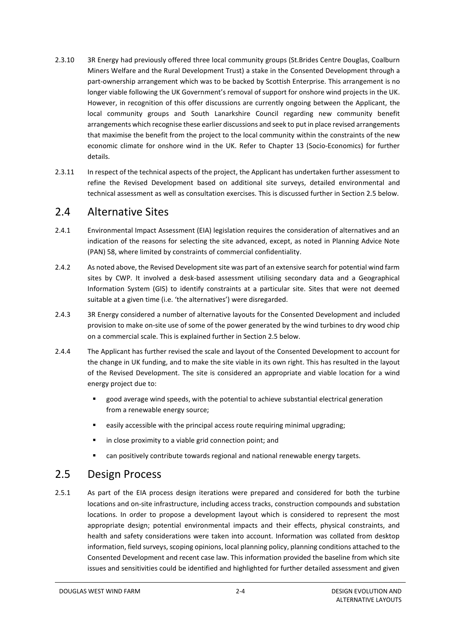- 2.3.10 3R Energy had previously offered three local community groups (St.Brides Centre Douglas, Coalburn Miners Welfare and the Rural Development Trust) a stake in the Consented Development through a part-ownership arrangement which was to be backed by Scottish Enterprise. This arrangement is no longer viable following the UK Government's removal of support for onshore wind projects in the UK. However, in recognition of this offer discussions are currently ongoing between the Applicant, the local community groups and South Lanarkshire Council regarding new community benefit arrangements which recognise these earlier discussions and seek to put in place revised arrangements that maximise the benefit from the project to the local community within the constraints of the new economic climate for onshore wind in the UK. Refer to Chapter 13 (Socio-Economics) for further details.
- 2.3.11 In respect of the technical aspects of the project, the Applicant has undertaken further assessment to refine the Revised Development based on additional site surveys, detailed environmental and technical assessment as well as consultation exercises. This is discussed further in Section 2.5 below.

# <span id="page-5-0"></span>2.4 Alternative Sites

- 2.4.1 Environmental Impact Assessment (EIA) legislation requires the consideration of alternatives and an indication of the reasons for selecting the site advanced, except, as noted in Planning Advice Note (PAN) 58, where limited by constraints of commercial confidentiality.
- 2.4.2 As noted above, the Revised Development site was part of an extensive search for potential wind farm sites by CWP. It involved a desk-based assessment utilising secondary data and a Geographical Information System (GIS) to identify constraints at a particular site. Sites that were not deemed suitable at a given time (i.e. 'the alternatives') were disregarded.
- 2.4.3 3R Energy considered a number of alternative layouts for the Consented Development and included provision to make on-site use of some of the power generated by the wind turbines to dry wood chip on a commercial scale. This is explained further in Section 2.5 below.
- 2.4.4 The Applicant has further revised the scale and layout of the Consented Development to account for the change in UK funding, and to make the site viable in its own right. This has resulted in the layout of the Revised Development. The site is considered an appropriate and viable location for a wind energy project due to:
	- good average wind speeds, with the potential to achieve substantial electrical generation from a renewable energy source;
	- **EXECTE 2018 12 FERO EXECTE 2018 12 FERO** in easily access route requiring minimal upgrading;
	- **i** in close proximity to a viable grid connection point; and
	- can positively contribute towards regional and national renewable energy targets.

# <span id="page-5-1"></span>2.5 Design Process

2.5.1 As part of the EIA process design iterations were prepared and considered for both the turbine locations and on-site infrastructure, including access tracks, construction compounds and substation locations. In order to propose a development layout which is considered to represent the most appropriate design; potential environmental impacts and their effects, physical constraints, and health and safety considerations were taken into account. Information was collated from desktop information, field surveys, scoping opinions, local planning policy, planning conditions attached to the Consented Development and recent case law. This information provided the baseline from which site issues and sensitivities could be identified and highlighted for further detailed assessment and given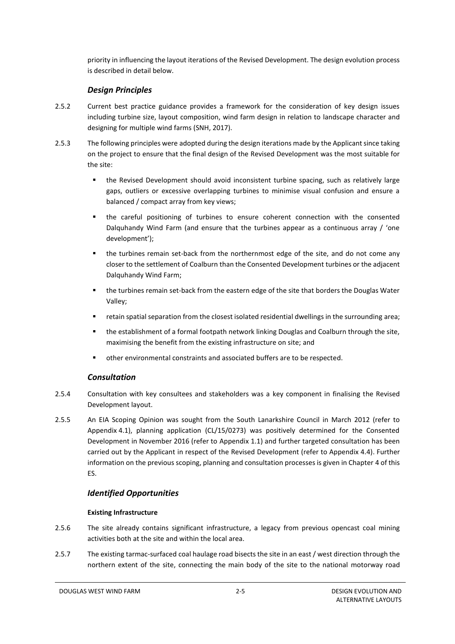priority in influencing the layout iterations of the Revised Development. The design evolution process is described in detail below.

# *Design Principles*

- 2.5.2 Current best practice guidance provides a framework for the consideration of key design issues including turbine size, layout composition, wind farm design in relation to landscape character and designing for multiple wind farms (SNH, 2017).
- 2.5.3 The following principles were adopted during the design iterations made by the Applicant since taking on the project to ensure that the final design of the Revised Development was the most suitable for the site:
	- the Revised Development should avoid inconsistent turbine spacing, such as relatively large gaps, outliers or excessive overlapping turbines to minimise visual confusion and ensure a balanced / compact array from key views;
	- the careful positioning of turbines to ensure coherent connection with the consented Dalquhandy Wind Farm (and ensure that the turbines appear as a continuous array / 'one development');
	- the turbines remain set-back from the northernmost edge of the site, and do not come any closer to the settlement of Coalburn than the Consented Development turbines or the adjacent Dalquhandy Wind Farm;
	- the turbines remain set-back from the eastern edge of the site that borders the Douglas Water Valley;
	- retain spatial separation from the closest isolated residential dwellings in the surrounding area;
	- the establishment of a formal footpath network linking Douglas and Coalburn through the site, maximising the benefit from the existing infrastructure on site; and
	- other environmental constraints and associated buffers are to be respected.

# *Consultation*

- 2.5.4 Consultation with key consultees and stakeholders was a key component in finalising the Revised Development layout.
- 2.5.5 An EIA Scoping Opinion was sought from the South Lanarkshire Council in March 2012 (refer to Appendix 4.1), planning application (CL/15/0273) was positively determined for the Consented Development in November 2016 (refer to Appendix 1.1) and further targeted consultation has been carried out by the Applicant in respect of the Revised Development (refer to Appendix 4.4). Further information on the previous scoping, planning and consultation processes is given in Chapter 4 of this ES.

# *Identified Opportunities*

### **Existing Infrastructure**

- 2.5.6 The site already contains significant infrastructure, a legacy from previous opencast coal mining activities both at the site and within the local area.
- 2.5.7 The existing tarmac-surfaced coal haulage road bisects the site in an east / west direction through the northern extent of the site, connecting the main body of the site to the national motorway road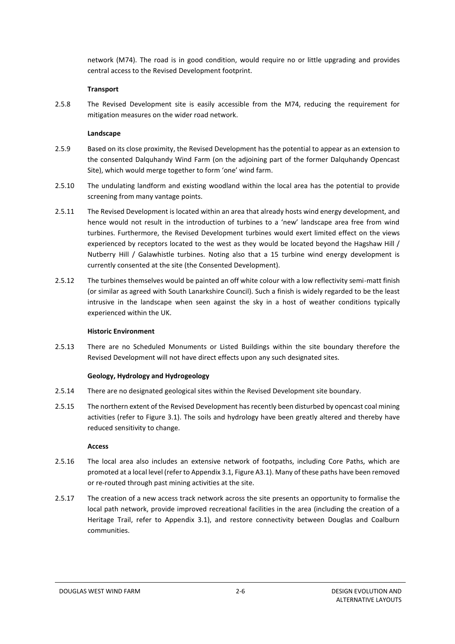network (M74). The road is in good condition, would require no or little upgrading and provides central access to the Revised Development footprint.

#### **Transport**

2.5.8 The Revised Development site is easily accessible from the M74, reducing the requirement for mitigation measures on the wider road network.

#### **Landscape**

- 2.5.9 Based on its close proximity, the Revised Development has the potential to appear as an extension to the consented Dalquhandy Wind Farm (on the adjoining part of the former Dalquhandy Opencast Site), which would merge together to form 'one' wind farm.
- 2.5.10 The undulating landform and existing woodland within the local area has the potential to provide screening from many vantage points.
- 2.5.11 The Revised Development is located within an area that already hosts wind energy development, and hence would not result in the introduction of turbines to a 'new' landscape area free from wind turbines. Furthermore, the Revised Development turbines would exert limited effect on the views experienced by receptors located to the west as they would be located beyond the Hagshaw Hill / Nutberry Hill / Galawhistle turbines. Noting also that a 15 turbine wind energy development is currently consented at the site (the Consented Development).
- 2.5.12 The turbines themselves would be painted an off white colour with a low reflectivity semi-matt finish (or similar as agreed with South Lanarkshire Council). Such a finish is widely regarded to be the least intrusive in the landscape when seen against the sky in a host of weather conditions typically experienced within the UK.

#### **Historic Environment**

2.5.13 There are no Scheduled Monuments or Listed Buildings within the site boundary therefore the Revised Development will not have direct effects upon any such designated sites.

#### **Geology, Hydrology and Hydrogeology**

- 2.5.14 There are no designated geological sites within the Revised Development site boundary.
- 2.5.15 The northern extent of the Revised Development has recently been disturbed by opencast coal mining activities (refer to Figure 3.1). The soils and hydrology have been greatly altered and thereby have reduced sensitivity to change.

#### **Access**

- 2.5.16 The local area also includes an extensive network of footpaths, including Core Paths, which are promoted at a local level (refer to Appendix 3.1, Figure A3.1). Many of these paths have been removed or re-routed through past mining activities at the site.
- 2.5.17 The creation of a new access track network across the site presents an opportunity to formalise the local path network, provide improved recreational facilities in the area (including the creation of a Heritage Trail, refer to Appendix 3.1), and restore connectivity between Douglas and Coalburn communities.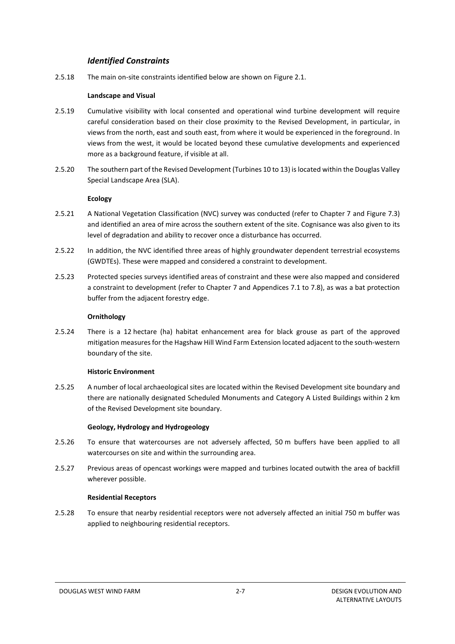### *Identified Constraints*

2.5.18 The main on-site constraints identified below are shown on Figure 2.1.

#### **Landscape and Visual**

- 2.5.19 Cumulative visibility with local consented and operational wind turbine development will require careful consideration based on their close proximity to the Revised Development, in particular, in views from the north, east and south east, from where it would be experienced in the foreground. In views from the west, it would be located beyond these cumulative developments and experienced more as a background feature, if visible at all.
- 2.5.20 The southern part of the Revised Development (Turbines 10 to 13) is located within the Douglas Valley Special Landscape Area (SLA).

#### **Ecology**

- 2.5.21 A National Vegetation Classification (NVC) survey was conducted (refer to Chapter 7 and Figure 7.3) and identified an area of mire across the southern extent of the site. Cognisance was also given to its level of degradation and ability to recover once a disturbance has occurred.
- 2.5.22 In addition, the NVC identified three areas of highly groundwater dependent terrestrial ecosystems (GWDTEs). These were mapped and considered a constraint to development.
- 2.5.23 Protected species surveys identified areas of constraint and these were also mapped and considered a constraint to development (refer to Chapter 7 and Appendices 7.1 to 7.8), as was a bat protection buffer from the adjacent forestry edge.

#### **Ornithology**

2.5.24 There is a 12 hectare (ha) habitat enhancement area for black grouse as part of the approved mitigation measures for the Hagshaw Hill Wind Farm Extension located adjacent to the south-western boundary of the site.

#### **Historic Environment**

2.5.25 A number of local archaeological sites are located within the Revised Development site boundary and there are nationally designated Scheduled Monuments and Category A Listed Buildings within 2 km of the Revised Development site boundary.

#### **Geology, Hydrology and Hydrogeology**

- 2.5.26 To ensure that watercourses are not adversely affected, 50 m buffers have been applied to all watercourses on site and within the surrounding area.
- 2.5.27 Previous areas of opencast workings were mapped and turbines located outwith the area of backfill wherever possible.

#### **Residential Receptors**

2.5.28 To ensure that nearby residential receptors were not adversely affected an initial 750 m buffer was applied to neighbouring residential receptors.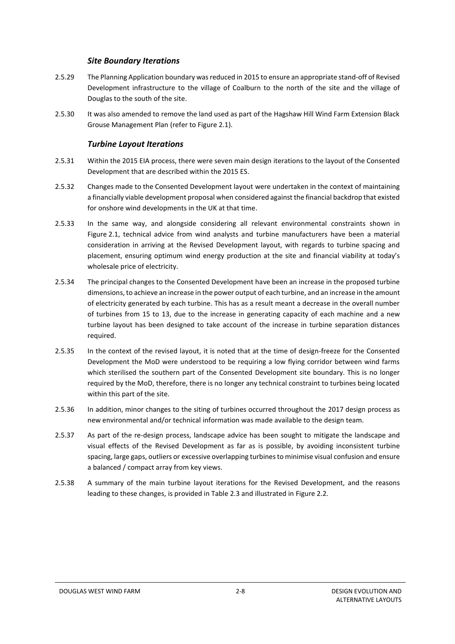### *Site Boundary Iterations*

- 2.5.29 The Planning Application boundary was reduced in 2015 to ensure an appropriate stand-off of Revised Development infrastructure to the village of Coalburn to the north of the site and the village of Douglas to the south of the site.
- 2.5.30 It was also amended to remove the land used as part of the Hagshaw Hill Wind Farm Extension Black Grouse Management Plan (refer to Figure 2.1).

### *Turbine Layout Iterations*

- 2.5.31 Within the 2015 EIA process, there were seven main design iterations to the layout of the Consented Development that are described within the 2015 ES.
- 2.5.32 Changes made to the Consented Development layout were undertaken in the context of maintaining a financially viable development proposal when considered against the financial backdrop that existed for onshore wind developments in the UK at that time.
- 2.5.33 In the same way, and alongside considering all relevant environmental constraints shown in Figure 2.1, technical advice from wind analysts and turbine manufacturers have been a material consideration in arriving at the Revised Development layout, with regards to turbine spacing and placement, ensuring optimum wind energy production at the site and financial viability at today's wholesale price of electricity.
- 2.5.34 The principal changes to the Consented Development have been an increase in the proposed turbine dimensions, to achieve an increase in the power output of each turbine, and an increase in the amount of electricity generated by each turbine. This has as a result meant a decrease in the overall number of turbines from 15 to 13, due to the increase in generating capacity of each machine and a new turbine layout has been designed to take account of the increase in turbine separation distances required.
- 2.5.35 In the context of the revised layout, it is noted that at the time of design-freeze for the Consented Development the MoD were understood to be requiring a low flying corridor between wind farms which sterilised the southern part of the Consented Development site boundary. This is no longer required by the MoD, therefore, there is no longer any technical constraint to turbines being located within this part of the site.
- 2.5.36 In addition, minor changes to the siting of turbines occurred throughout the 2017 design process as new environmental and/or technical information was made available to the design team.
- 2.5.37 As part of the re-design process, landscape advice has been sought to mitigate the landscape and visual effects of the Revised Development as far as is possible, by avoiding inconsistent turbine spacing, large gaps, outliers or excessive overlapping turbines to minimise visual confusion and ensure a balanced / compact array from key views.
- 2.5.38 A summary of the main turbine layout iterations for the Revised Development, and the reasons leading to these changes, is provided in Table 2.3 and illustrated in Figure 2.2.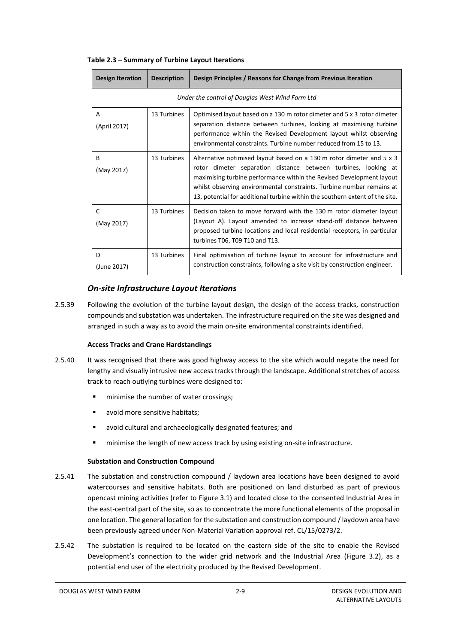| Table 2.3 - Summary of Turbine Layout Iterations |  |
|--------------------------------------------------|--|
|--------------------------------------------------|--|

| <b>Design Iteration</b>                         | <b>Description</b> | Design Principles / Reasons for Change from Previous Iteration                                                                                                                                                                                                                                                                                                           |  |  |
|-------------------------------------------------|--------------------|--------------------------------------------------------------------------------------------------------------------------------------------------------------------------------------------------------------------------------------------------------------------------------------------------------------------------------------------------------------------------|--|--|
| Under the control of Douglas West Wind Farm Ltd |                    |                                                                                                                                                                                                                                                                                                                                                                          |  |  |
| A<br>(April 2017)                               | 13 Turbines        | Optimised layout based on a 130 m rotor dimeter and 5 x 3 rotor dimeter<br>separation distance between turbines, looking at maximising turbine<br>performance within the Revised Development layout whilst observing<br>environmental constraints. Turbine number reduced from 15 to 13.                                                                                 |  |  |
| B<br>(May 2017)                                 | 13 Turbines        | Alternative optimised layout based on a 130 m rotor dimeter and 5 x 3<br>rotor dimeter separation distance between turbines, looking at<br>maximising turbine performance within the Revised Development layout<br>whilst observing environmental constraints. Turbine number remains at<br>13, potential for additional turbine within the southern extent of the site. |  |  |
| C<br>(May 2017)                                 | 13 Turbines        | Decision taken to move forward with the 130 m rotor diameter layout<br>(Layout A). Layout amended to increase stand-off distance between<br>proposed turbine locations and local residential receptors, in particular<br>turbines T06, T09 T10 and T13.                                                                                                                  |  |  |
| D<br>(June 2017)                                | 13 Turbines        | Final optimisation of turbine layout to account for infrastructure and<br>construction constraints, following a site visit by construction engineer.                                                                                                                                                                                                                     |  |  |

## *On-site Infrastructure Layout Iterations*

2.5.39 Following the evolution of the turbine layout design, the design of the access tracks, construction compounds and substation was undertaken. The infrastructure required on the site was designed and arranged in such a way as to avoid the main on-site environmental constraints identified.

### **Access Tracks and Crane Hardstandings**

- 2.5.40 It was recognised that there was good highway access to the site which would negate the need for lengthy and visually intrusive new access tracks through the landscape. Additional stretches of access track to reach outlying turbines were designed to:
	- **n** minimise the number of water crossings;
	- **a** avoid more sensitive habitats:
	- avoid cultural and archaeologically designated features; and
	- **numimise the length of new access track by using existing on-site infrastructure.**

### **Substation and Construction Compound**

- 2.5.41 The substation and construction compound / laydown area locations have been designed to avoid watercourses and sensitive habitats. Both are positioned on land disturbed as part of previous opencast mining activities (refer to Figure 3.1) and located close to the consented Industrial Area in the east-central part of the site, so as to concentrate the more functional elements of the proposal in one location. The general location for the substation and construction compound / laydown area have been previously agreed under Non-Material Variation approval ref. CL/15/0273/2.
- 2.5.42 The substation is required to be located on the eastern side of the site to enable the Revised Development's connection to the wider grid network and the Industrial Area (Figure 3.2), as a potential end user of the electricity produced by the Revised Development.